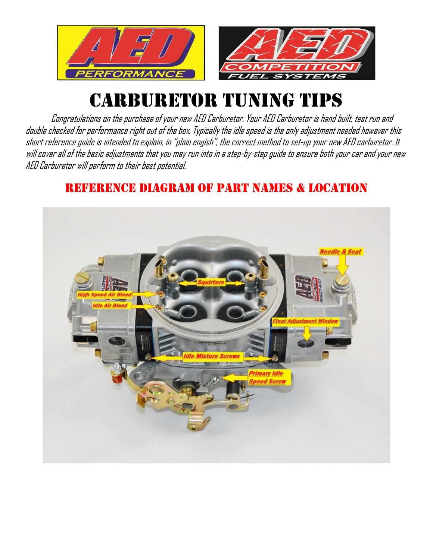

# CARBURETOR TUNING TIPS

Congratulations on the purchase of your new AED Carburetor. Your AED Carburetor is hand built, test run and double checked for performance right out of the box. Typically the idle speed is the only adjustment needed however this short reference guide is intended to explain, in "plain engish", the correct method to set-up your new AED carburetor. It will cover all of the basic adjustments that you may run into in a step-by-step guide to ensure both your car and your new AED Carburetor will perform to their best potential.

## REFERENCE DIAGRAM OF PART NAMES & LOCATION

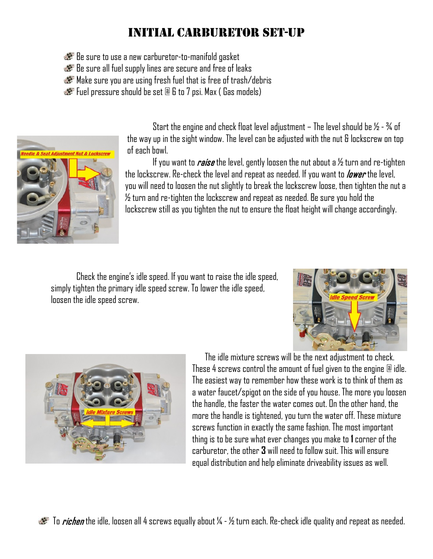# Initial carburetor set-up

Be sure to use a new carburetor-to-manifold gasket

Be sure all fuel supply lines are secure and free of leaks

Make sure you are using fresh fuel that is free of trash/debris

Fuel pressure should be set  $\mathbb B$  6 to 7 psi. Max ( Gas models)



Start the engine and check float level adjustment – The level should be  $\frac{1}{2}$  -  $\frac{3}{4}$  of the way up in the sight window. The level can be adjusted with the nut & lockscrew on top of each bowl.

If you want to *raise* the level, gently loosen the nut about a  $\frac{1}{2}$  turn and re-tighten the lockscrew. Re-check the level and repeat as needed. If you want to *lower* the level, you will need to loosen the nut slightly to break the lockscrew loose, then tighten the nut a  $\%$  turn and re-tighten the lockscrew and repeat as needed. Be sure you hold the lockscrew still as you tighten the nut to ensure the float height will change accordingly.

Check the engine's idle speed. If you want to raise the idle speed, simply tighten the primary idle speed screw. To lower the idle speed, loosen the idle speed screw.





The idle mixture screws will be the next adjustment to check. These 4 screws control the amount of fuel given to the engine  $@$  idle. The easiest way to remember how these work is to think of them as a water faucet/spigot on the side of you house. The more you loosen the handle, the faster the water comes out. On the other hand, the more the handle is tightened, you turn the water off. These mixture screws function in exactly the same fashion. The most important thing is to be sure what ever changes you make to **1** corner of the carburetor, the other **3** will need to follow suit. This will ensure equal distribution and help eliminate driveability issues as well.